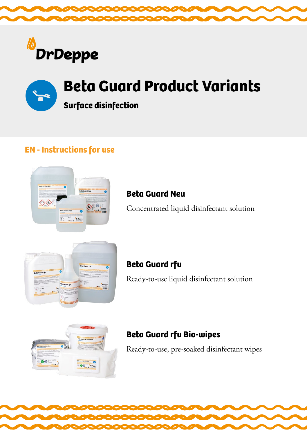



**Surface disinfection** 

## **EN - Instructions for use**



## **Beta Guard Neu**

Concentrated liquid disinfectant solution



## **Beta Guard rfu** Ready-to-use liquid disinfectant solution



## **Beta Guard rfu Bio-wipes**

Ready-to-use, pre-soaked disinfectant wipes

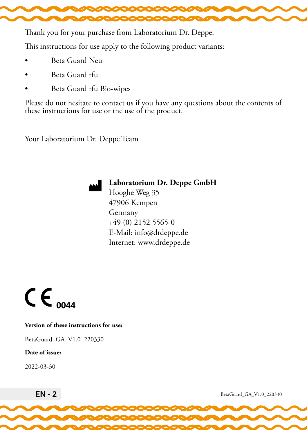

Thank you for your purchase from Laboratorium Dr. Deppe.

This instructions for use apply to the following product variants:

- Beta Guard Neu
- Beta Guard rfu
- Beta Guard rfu Bio-wipes

Please do not hesitate to contact us if you have any questions about the contents of these instructions for use or the use of the product.

Your Laboratorium Dr. Deppe Team



#### **Laboratorium Dr. Deppe GmbH**

Hooghe Weg 35 47906 Kempen Germany +49 (0) 2152 5565-0 E-Mail: info@drdeppe.de Internet: www.drdeppe.de



#### **Version of these instructions for use:**

BetaGuard\_GA\_V1.0\_220330

#### **Date of issue:**

2022-03-30



EN - 2 BetaGuard\_GA\_V1.0\_220330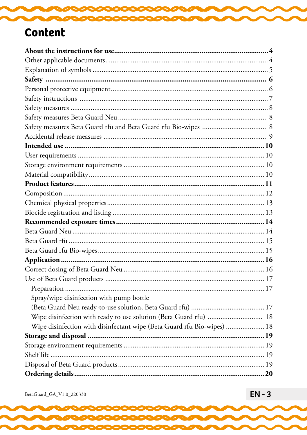# **Content**

| Spray/wipe disinfection with pump bottle                                |  |
|-------------------------------------------------------------------------|--|
|                                                                         |  |
| Wipe disinfection with ready to use solution (Beta Guard rfu)  18       |  |
| Wipe disinfection with disinfectant wipe (Beta Guard rfu Bio-wipes)  18 |  |
|                                                                         |  |
|                                                                         |  |
|                                                                         |  |
|                                                                         |  |
|                                                                         |  |

 $\rm BetaGuard\_GA\_V1.0\_220330$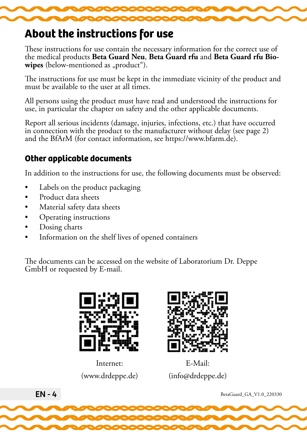<span id="page-3-0"></span>

## **About the instructions for use**

These instructions for use contain the necessary information for the correct use of the medical products **Beta Guard Neu**, **Beta Guard rfu** and **Beta Guard rfu Bio**wipes (below-mentioned as "product").

The instructions for use must be kept in the immediate vicinity of the product and must be available to the user at all times.

All persons using the product must have read and understood the instructions for use, in particular the chapter on safety and the other applicable documents.

Report all serious incidents (damage, injuries, infections, etc.) that have occurred in connection with the product to the manufacturer without delay (see page 2) and the BfArM (for contact information, see https://www.bfarm.de).

## **Other applicable documents**

In addition to the instructions for use, the following documents must be observed:

- Labels on the product packaging
- Product data sheets
- Material safety data sheets
- Operating instructions
- Dosing charts
- Information on the shelf lives of opened containers

The documents can be accessed on the website of Laboratorium Dr. Deppe GmbH or requested by E-mail.



(www.drdeppe.de) Internet:



(info@drdeppe.de) E-Mail:

 $EN - 4$  BetaGuard\_GA\_V1.0\_220330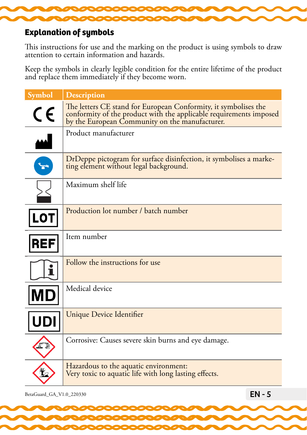<span id="page-4-0"></span>

#### **Explanation of symbols**

This instructions for use and the marking on the product is using symbols to draw attention to certain information and hazards.

Keep the symbols in clearly legible condition for the entire lifetime of the product and replace them immediately if they become worn.

| <b>Symbol</b>            | <b>Description</b>                                                                                                                                                                      |
|--------------------------|-----------------------------------------------------------------------------------------------------------------------------------------------------------------------------------------|
| $C \in$                  | The letters CE stand for European Conformity, it symbolises the<br>conformity of the product with the applicable requirements imposed<br>by the European Community on the manufacturer. |
| $\overline{\phantom{a}}$ | Product manufacturer                                                                                                                                                                    |
| $\mathbf{r}$             | DrDeppe pictogram for surface disinfection, it symbolises a marke-<br>ting element without legal background.                                                                            |
|                          | Maximum shelf life                                                                                                                                                                      |
| <b>LOT</b>               | Production lot number / batch number                                                                                                                                                    |
| <b>REF</b>               | Item number                                                                                                                                                                             |
| т                        | Follow the instructions for use                                                                                                                                                         |
| MΕ                       | Medical device                                                                                                                                                                          |
|                          | <b>Unique Device Identifier</b>                                                                                                                                                         |
|                          | Corrosive: Causes severe skin burns and eye damage.                                                                                                                                     |
|                          | Hazardous to the aquatic environment:<br>Very toxic to aquatic life with long lasting effects.                                                                                          |

BetaGuard\_GA\_V1.0\_220330 **EN - 5**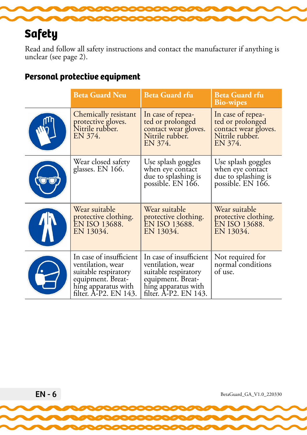# <span id="page-5-0"></span>**Safety**

Read and follow all safety instructions and contact the manufacturer if anything is unclear (see page 2).

#### **Personal protective equipment**

| <b>Beta Guard Neu</b>                                                                                                                     | <b>Beta Guard rfu</b>                                                                                                                     | <b>Beta Guard rfu</b><br><b>Bio-wipes</b>                                                   |  |
|-------------------------------------------------------------------------------------------------------------------------------------------|-------------------------------------------------------------------------------------------------------------------------------------------|---------------------------------------------------------------------------------------------|--|
| Chemically resistant<br>protective gloves.<br>Nitrile rubber.<br>EN 374.                                                                  | In case of repea-<br>ted or prolonged<br>contact wear gloves.<br>Nitrile rubber.<br>EN 374.                                               | In case of repea-<br>ted or prolonged<br>contact wear gloves.<br>Nitrile rubber.<br>EN 374. |  |
| Wear closed safety<br>glasses. EN 166.                                                                                                    | Use splash goggles<br>when eye contact<br>due to splashing is<br>possible. EN 166.                                                        | Use splash goggles<br>when eye contact<br>due to splashing is<br>possible. EN 166.          |  |
| Wear suitable<br>protective clothing.<br>EN ISO 13688.<br>EN 13034.                                                                       | Wear suitable<br>protective clothing.<br>EN ISO 13688.<br>EN 13034.                                                                       | Wear suitable<br>protective clothing.<br>EN ISO 13688.<br>EN 13034.                         |  |
| In case of insufficient<br>ventilation, wear<br>suitable respiratory<br>equipment. Breat-<br>hing apparatus with<br>filter. A-P2. EN 143. | In case of insufficient<br>ventilation, wear<br>suitable respiratory<br>equipment. Breat-<br>hing apparatus with<br>filter. A-P2. EN 143. | Not required for<br>normal conditions<br>of use.                                            |  |

 $EN - 6$  BetaGuard\_GA\_V1.0\_220330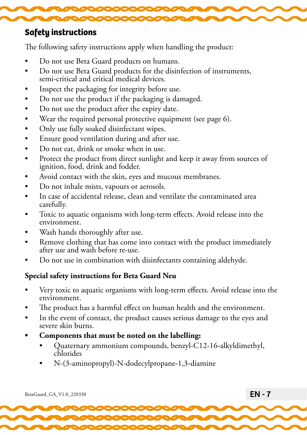<span id="page-6-0"></span>

#### **Safety instructions**

The following safety instructions apply when handling the product:

- Do not use Beta Guard products on humans.
- Do not use Beta Guard products for the disinfection of instruments, semi-critical and critical medical devices.
- Inspect the packaging for integrity before use.
- Do not use the product if the packaging is damaged.
- Do not use the product after the expiry date.
- Wear the required personal protective equipment (see page 6).
- Only use fully soaked disinfectant wipes.
- Ensure good ventilation during and after use.
- Do not eat, drink or smoke when in use.
- Protect the product from direct sunlight and keep it away from sources of ignition, food, drink and fodder.
- Avoid contact with the skin, eyes and mucous membranes.
- Do not inhale mists, vapours or aerosols.
- In case of accidental release, clean and ventilate the contaminated area carefully.
- Toxic to aquatic organisms with long-term effects. Avoid release into the environment.
- Wash hands thoroughly after use.
- Remove clothing that has come into contact with the product immediately after use and wash before re-use.
- Do not use in combination with disinfectants containing aldehyde.

### **Special safety instructions for Beta Guard Neu**

- Very toxic to aquatic organisms with long-term effects. Avoid release into the environment.
- The product has a harmful effect on human health and the environment.
- In the event of contact, the product causes serious damage to the eyes and severe skin burns.
- **• Components that must be noted on the labelling:**
	- Quaternary ammonium compounds, benzyl-C12-16-alkyldimethyl, chlorides
	- N-(3-aminopropyl)-N-dodecylpropane-1,3-diamine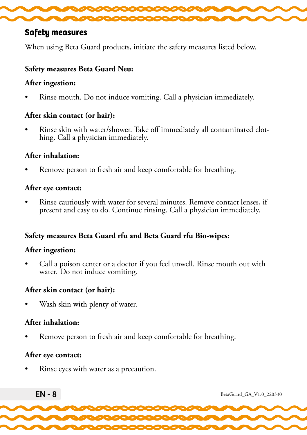<span id="page-7-0"></span>

#### **Safety measures**

When using Beta Guard products, initiate the safety measures listed below.

#### **Safety measures Beta Guard Neu:**

#### **After ingestion:**

• Rinse mouth. Do not induce vomiting. Call a physician immediately.

#### **After skin contact (or hair):**

• Rinse skin with water/shower. Take off immediately all contaminated clot- hing. Call a physician immediately.

#### **After inhalation:**

Remove person to fresh air and keep comfortable for breathing.

#### **After eye contact:**

• Rinse cautiously with water for several minutes. Remove contact lenses, if present and easy to do. Continue rinsing. Call a physician immediately.

#### **Safety measures Beta Guard rfu and Beta Guard rfu Bio-wipes:**

#### **After ingestion:**

• Call a poison center or a doctor if you feel unwell. Rinse mouth out with water. Do not induce vomiting.

#### **After skin contact (or hair):**

Wash skin with plenty of water.

#### **After inhalation:**

Remove person to fresh air and keep comfortable for breathing.

#### **After eye contact:**

• Rinse eyes with water as a precaution.

 $EN - 8$  BetaGuard\_GA\_V1.0\_220330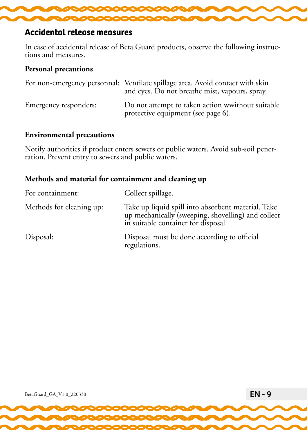<span id="page-8-0"></span>

#### **Accidental release measures**

In case of accidental release of Beta Guard products, observe the following instruc- tions and measures.

#### **Personal precautions**

|                       | For non-emergency personnal: Ventilate spillage area. Avoid contact with skin<br>and eyes. Do not breathe mist, vapours, spray. |
|-----------------------|---------------------------------------------------------------------------------------------------------------------------------|
| Emergency responders: | Do not attempt to taken action wwithout suitable<br>protective equipment (see page 6).                                          |

#### **Environmental precautions**

Notify authorities if product enters sewers or public waters. Avoid sub-soil penet- ration. Prevent entry to sewers and public waters.

#### **Methods and material for containment and cleaning up**

| For containment:         | Collect spillage.                                                                                                                               |
|--------------------------|-------------------------------------------------------------------------------------------------------------------------------------------------|
| Methods for cleaning up: | Take up liquid spill into absorbent material. Take<br>up mechanically (sweeping, shovelling) and collect<br>in suitable container for disposal. |
| Disposal:                | Disposal must be done according to official<br>regulations.                                                                                     |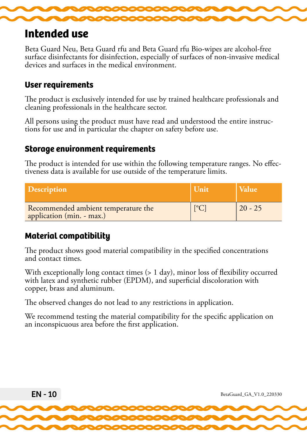

## **Intended use**

Beta Guard Neu, Beta Guard rfu and Beta Guard rfu Bio-wipes are alcohol-free surface disinfectants for disinfection, especially of surfaces of non-invasive medical devices and surfaces in the medical environment.

#### **User requirements**

The product is exclusively intended for use by trained healthcare professionals and cleaning professionals in the healthcare sector.

All persons using the product must have read and understood the entire instruc- tions for use and in particular the chapter on safety before use.

#### **Storage environment requirements**

The product is intended for use within the following temperature ranges. No effec- tiveness data is available for use outside of the temperature limits.

| <b>Description</b>                                               | Unit                 | <b>Value</b> |
|------------------------------------------------------------------|----------------------|--------------|
| Recommended ambient temperature the<br>application (min. - max.) | $\mathsf{L}^{\circ}$ | $20 - 25$    |

### **Material compatibility**

The product shows good material compatibility in the specified concentrations and contact times.

With exceptionally long contact times (> 1 day), minor loss of flexibility occurred with latex and synthetic rubber (EPDM), and superficial discoloration with copper, brass and aluminum.

The observed changes do not lead to any restrictions in application.

We recommend testing the material compatibility for the specific application on an inconspicuous area before the first application.

$$
EN-10
$$
 **BeaGuard-GA\_V1.0\_220330 BeaGuard-GA\_V1.0\_220330 BeaGuard-GA\_V1.0\_220330 BeaGuard-GA\_V1.0\_220330 BeaGuard-GA\_V1.0\_220330 BeaGuard-GA\_V1.0\_220330 BeaGuard-GA\_V1.0\_220330 BeaGuard-GA\_V1.0\_220330 BeaGuard-GA\_V1.0\_220330 BeaGuard-GA\_V1.0\_220330 BeaGuard-GA\_V1.0\_220330 BeaGuard-GA\_V1.0\_220330 BeaGuard-GA\_V1.0\_220330 BeaGuard-GA\_V1.0\_220330 BeaGuard-GA\_V1.0\_220330 BeaGuard-GA\_V1.0\_220330 BeaGuard-GA\_V1.0\_220330 BeaGuard-GA\_V1.0\_220330 BeaGuard-GA\_V1.0\_220330 BeaGuard-GA\_V1.0\_220330 BeaGuard-GA\_V1.0\_220330**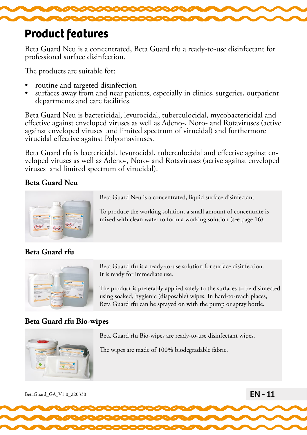

## **Product features**

Beta Guard Neu is a concentrated, Beta Guard rfu a ready-to-use disinfectant for professional surface disinfection.

The products are suitable for:

- 
- routine and targeted disinfection<br>• surfaces away from and near patients, especially in clinics, surgeries, outpatient departments and care facilities.

Beta Guard Neu is bactericidal, levurocidal, tuberculocidal, mycobactericidal and effective against enveloped viruses as well as Adeno-, Noro- and Rotaviruses (active against enveloped viruses and limited spectrum of virucidal) and furthermore virucidal effective against Polyomaviruses.

Beta Guard rfu is bactericidal, levurocidal, tuberculocidal and effective against en- veloped viruses as well as Adeno-, Noro- and Rotaviruses (active against enveloped viruses and limited spectrum of virucidal).

#### **Beta Guard Neu**



#### **Beta Guard rfu**

Beta Guard rfu is a ready-to-use solution for surface disinfection. It is ready for immediate use.

The product is preferably applied safely to the surfaces to be disinfected using soaked, hygienic (disposable) wipes. In hard-to-reach places, Beta Guard rfu can be sprayed on with the pump or spray bottle.

#### **Beta Guard rfu Bio-wipes**



Beta Guard rfu Bio-wipes are ready-to-use disinfectant wipes.

The wipes are made of 100% biodegradable fabric.

BetaGuard\_GA\_V1.0\_220330 **EN - 11** 

#### To produce the working solution, a small amount of concentrate is

mixed with clean water to form a working solution (see page 16).

Beta Guard Neu is a concentrated, liquid surface disinfectant.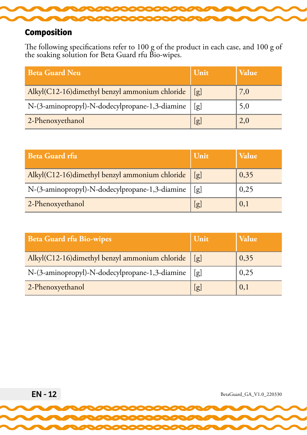<span id="page-11-0"></span>

## **Composition**

The following specifications refer to 100 g of the product in each case, and 100 g of the soaking solution for Beta Guard rfu Bio-wipes.

| <b>Beta Guard Neu</b>                          | Unit | <b>Value</b> |
|------------------------------------------------|------|--------------|
| Alkyl(C12-16)dimethyl benzyl ammonium chloride | [g]  | 7,0          |
| N-(3-aminopropyl)-N-dodecylpropane-1,3-diamine | [g]  | 5,0          |
| 2-Phenoxyethanol                               | [g]  | 2,0          |

| <b>Beta Guard rfu</b>                          | Unit | Value |
|------------------------------------------------|------|-------|
| Alkyl(C12-16)dimethyl benzyl ammonium chloride | [g]  | 0,35  |
| N-(3-aminopropyl)-N-dodecylpropane-1,3-diamine | [g]  | 0,25  |
| 2-Phenoxyethanol                               | [g]  | 0,1   |

| <b>Beta Guard rfu Bio-wipes</b>                | Unit | <b>Value</b> |
|------------------------------------------------|------|--------------|
| Alkyl(C12-16)dimethyl benzyl ammonium chloride | [g]  | 0,35         |
| N-(3-aminopropyl)-N-dodecylpropane-1,3-diamine | [g]  | 0,25         |
| 2-Phenoxyethanol                               | [g]  | 0,1          |

EN - 12 BetaGuard\_GA\_V1.0\_220330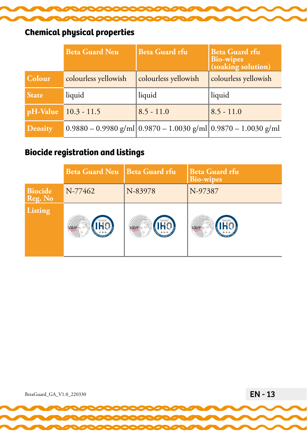<span id="page-12-0"></span>

## **Chemical physical properties**

|                | <b>Beta Guard Neu</b> | <b>Beta Guard rfu</b>                                                  | <b>Beta Guard rfu</b><br><b>Bio-wipes</b><br>(soaking solution) |
|----------------|-----------------------|------------------------------------------------------------------------|-----------------------------------------------------------------|
| Colour         | colourless yellowish  | colourless yellowish                                                   | colourless yellowish                                            |
| <b>State</b>   | liquid                | liquid                                                                 | liquid                                                          |
| pH-Value       | $10.3 - 11.5$         | $8.5 - 11.0$                                                           | $8.5 - 11.0$                                                    |
| <b>Density</b> |                       | $0.9880 - 0.9980$ g/ml $ 0.9870 - 1.0030$ g/ml $ 0.9870 - 1.0030$ g/ml |                                                                 |

## **Biocide registration and listings**

|                           | Beta Guard Neu   Beta Guard rfu |                   | <b>Beta Guard rfu</b><br><b>Bio-wipes</b> |
|---------------------------|---------------------------------|-------------------|-------------------------------------------|
| <b>Biocide</b><br>Reg. No | N-77462                         | N-83978           | N-97387                                   |
| <b>Listing</b>            | <b>REGULAR SERVICES</b>         | Manuel Charles In | <b>REGARD MAY</b>                         |

BetaGuard\_GA\_V1.0\_220330 **EN - 13**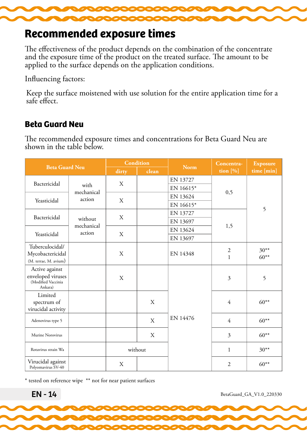<span id="page-13-0"></span>

## **Recommended exposure times**

The effectiveness of the product depends on the combination of the concentrate and the exposure time of the product on the treated surface. The amount to be applied to the surface depends on the application conditions.

Influencing factors:

Keep the surface moistened with use solution for the entire application time for a safe effect.

## **Beta Guard Neu**

The recommended exposure times and concentrations for Beta Guard Neu are shown in the table below.

| <b>Beta Guard Neu</b>                                                |                       | <b>Condition</b> |         | <b>Norm</b> | Concentra-                     | <b>Exposure</b>   |
|----------------------------------------------------------------------|-----------------------|------------------|---------|-------------|--------------------------------|-------------------|
|                                                                      |                       | dirty            | clean   |             | tion $[\%]$                    | time [min]        |
| Bactericidal                                                         |                       | X                |         | EN 13727    |                                |                   |
|                                                                      | with<br>mechanical    |                  |         | EN 16615*   | 0,5                            |                   |
| Yeasticidal                                                          | action                | X                |         | EN 13624    |                                |                   |
|                                                                      |                       |                  |         | EN 16615*   |                                | 5                 |
| Bactericidal                                                         |                       | X                |         | EN 13727    |                                |                   |
|                                                                      | without<br>mechanical |                  |         | EN 13697    | 1,5                            |                   |
| Yeasticidal                                                          | action                | X                |         | EN 13624    |                                |                   |
|                                                                      |                       |                  |         | EN 13697    |                                |                   |
| Tuberculocidal/<br>Mycobactericidal<br>(M. terrae, M. avium)         |                       | Χ                |         | EN 14348    | $\overline{2}$<br>$\mathbf{1}$ | $30**$<br>$60***$ |
| Active against<br>enveloped viruses<br>(Modified Vaccinia<br>Ankara) |                       | X                |         |             | 3                              | 5                 |
| Limited<br>spectrum of<br>virucidal activity                         |                       |                  | X       |             | 4                              | $60***$           |
| Adenovirus type 5                                                    |                       |                  | X       | EN 14476    | 4                              | $60***$           |
| Murine Norovirus                                                     |                       |                  | X       |             | $\overline{\mathbf{3}}$        | $60***$           |
| Rotavirus strain Wa                                                  |                       |                  | without |             | 1                              | $30***$           |
| Virucidal against<br>Polyomavirus SV-40                              |                       | X                |         |             | $\overline{2}$                 | $60**$            |

\* tested on reference wipe \*\* not for near patient surfaces

EN - 14 BetaGuard\_GA\_V1.0\_220330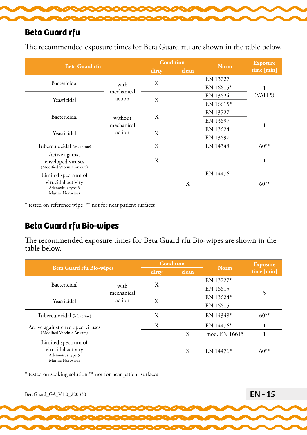<span id="page-14-0"></span>

### **Beta Guard rfu**

The recommended exposure times for Beta Guard rfu are shown in the table below.

| <b>Beta Guard rfu</b>                                                              |                      |       | <b>Condition</b> | <b>Norm</b> | <b>Exposure</b> |  |
|------------------------------------------------------------------------------------|----------------------|-------|------------------|-------------|-----------------|--|
|                                                                                    |                      | dirty | clean            |             | time [min]      |  |
| Bactericidal                                                                       |                      | X     |                  | EN 13727    |                 |  |
|                                                                                    | with<br>mechanical   |       |                  | EN 16615*   |                 |  |
|                                                                                    | action               | X     |                  | EN 13624    | (VAH 5)         |  |
| Yeasticidal                                                                        |                      |       |                  | EN 16615*   |                 |  |
|                                                                                    |                      |       | EN 13727         |             |                 |  |
| Bactericidal                                                                       | without              | X     |                  | EN 13697    |                 |  |
|                                                                                    | mechanical<br>action | X     |                  | EN 13624    |                 |  |
| Yeasticidal                                                                        |                      |       |                  | EN 13697    |                 |  |
| Tuberculocidal (M. terrae)                                                         |                      | X     |                  | EN 14348    | $60**$          |  |
| Active against<br>enveloped viruses<br>(Modified Vaccinia Ankara)                  |                      | X     |                  |             |                 |  |
| Limited spectrum of<br>virucidal activity<br>Adenovirus type 5<br>Murine Norovirus |                      |       | X                | EN 14476    | $60**$          |  |

\* tested on reference wipe \*\* not for near patient surfaces

## **Beta Guard rfu Bio-wipes**

The recommended exposure times for Beta Guard rfu Bio-wipes are shown in the table below.

| <b>Beta Guard rfu Bio-wipes</b>                                                    |                              |       | Condition | <b>Norm</b>   | <b>Exposure</b><br>time [min] |  |
|------------------------------------------------------------------------------------|------------------------------|-------|-----------|---------------|-------------------------------|--|
|                                                                                    |                              | dirty | clean     |               |                               |  |
| Bactericidal                                                                       | with<br>mechanical<br>action | X     |           | EN 13727*     |                               |  |
|                                                                                    |                              |       |           | EN 16615      | 5                             |  |
| Yeasticidal                                                                        |                              | X     |           | EN 13624*     |                               |  |
|                                                                                    |                              |       |           | EN 16615      |                               |  |
| Tuberculocidal (M. terrae)                                                         |                              | X     |           | EN 14348*     | $60**$                        |  |
| Active against enveloped viruses                                                   |                              | X     |           | EN 14476*     |                               |  |
| (Modified Vaccinia Ankara)                                                         |                              |       | X         | mod. EN 16615 |                               |  |
| Limited spectrum of<br>virucidal activity<br>Adenovirus type 5<br>Murine Norovirus |                              |       | X         | EN 14476*     | $60**$                        |  |

\* tested on soaking solution \*\* not for near patient surfaces

BetaGuard\_GA\_V1.0\_220330 **EN - 15**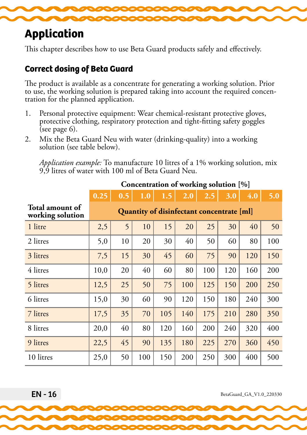<span id="page-15-0"></span>

# **Application**

This chapter describes how to use Beta Guard products safely and effectively.

## **Correct dosing of Beta Guard**

The product is available as a concentrate for generating a working solution. Prior to use, the working solution is prepared taking into account the required concen- tration for the planned application.

- 1. Personal protective equipment: Wear chemical-resistant protective gloves, protective clothing, respiratory protection and tight-fitting safety goggles (see page  $6$ ).
- 2. Mix the Beta Guard Neu with water (drinking-quality) into a working solution (see table below).

*Application example:* To manufacture 10 litres of a 1% working solution, mix 9,9 litres of water with 100 ml of Beta Guard Neu.

|                                     | 0.25                                      | 0.5 | 1.0 | 1.5 | 2.0 | 2.5 | 3.0 | 4.0 | 5.0 |
|-------------------------------------|-------------------------------------------|-----|-----|-----|-----|-----|-----|-----|-----|
| Total amount of<br>working solution | Quantity of disinfectant concentrate [ml] |     |     |     |     |     |     |     |     |
| 1 litre                             | 2,5                                       | 5   | 10  | 15  | 20  | 25  | 30  | 40  | 50  |
| 2 litres                            | 5,0                                       | 10  | 20  | 30  | 40  | 50  | 60  | 80  | 100 |
| 3 litres                            | 7,5                                       | 15  | 30  | 45  | 60  | 75  | 90  | 120 | 150 |
| 4 litres                            | 10,0                                      | 20  | 40  | 60  | 80  | 100 | 120 | 160 | 200 |
| 5 litres                            | 12,5                                      | 25  | 50  | 75  | 100 | 125 | 150 | 200 | 250 |
| 6 litres                            | 15,0                                      | 30  | 60  | 90  | 120 | 150 | 180 | 240 | 300 |
| 7 litres                            | 17,5                                      | 35  | 70  | 105 | 140 | 175 | 210 | 280 | 350 |
| 8 litres                            | 20,0                                      | 40  | 80  | 120 | 160 | 200 | 240 | 320 | 400 |
| 9 litres                            | 22,5                                      | 45  | 90  | 135 | 180 | 225 | 270 | 360 | 450 |
| 10 litres                           | 25,0                                      | 50  | 100 | 150 | 200 | 250 | 300 | 400 | 500 |

## **Concentration of working solution [%]**

 $EN - 16$  BetaGuard\_GA\_V1.0\_220330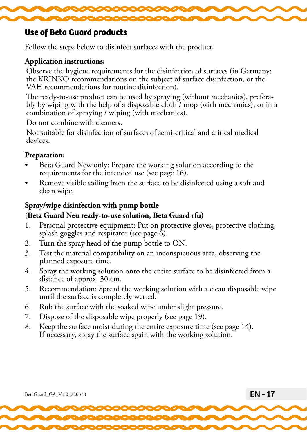<span id="page-16-0"></span>

#### **Use of Beta Guard products**

Follow the steps below to disinfect surfaces with the product.

#### **Application instructions:**

Observe the hygiene requirements for the disinfection of surfaces (in Germany: the KRINKO recommendations on the subject of surface disinfection, or the VAH recommendations for routine disinfection).

The ready-to-use product can be used by spraying (without mechanics), prefera- bly by wiping with the help of a disposable cloth / mop (with mechanics), or in a combination of spraying / wiping (with mechanics).

Do not combine with cleaners.

Not suitable for disinfection of surfaces of semi-critical and critical medical devices.

#### **Preparation:**

- Beta Guard New only: Prepare the working solution according to the requirements for the intended use (see page 16).
- Remove visible soiling from the surface to be disinfected using a soft and clean wipe.

#### **Spray/wipe disinfection with pump bottle**

#### **(Beta Guard Neu ready-to-use solution, Beta Guard rfu)**

- 1. Personal protective equipment: Put on protective gloves, protective clothing, splash goggles and respirator (see page  $\delta$ ).
- 2. Turn the spray head of the pump bottle to ON.
- 3. Test the material compatibility on an inconspicuous area, observing the planned exposure time.
- 4. Spray the working solution onto the entire surface to be disinfected from a distance of approx. 30 cm.
- 5. Recommendation: Spread the working solution with a clean disposable wipe until the surface is completely wetted.
- 6. Rub the surface with the soaked wipe under slight pressure.
- 7. Dispose of the disposable wipe properly (see page 19).
- 8. Keep the surface moist during the entire exposure time (see page 14). If necessary, spray the surface again with the working solution.

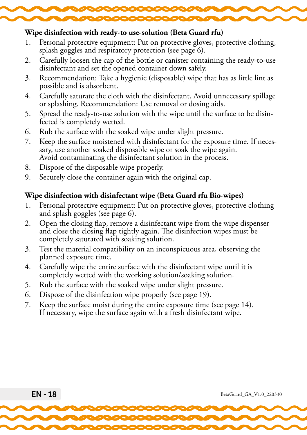

#### **Wipe disinfection with ready-to use-solution (Beta Guard rfu)**

- 1. Personal protective equipment: Put on protective gloves, protective clothing, splash goggles and respiratory protection (see page 6).
- 2. Carefully loosen the cap of the bottle or canister containing the ready-to-use disinfectant and set the opened container down safely.
- 3. Recommendation: Take a hygienic (disposable) wipe that has as little lint as possible and is absorbent.
- 4. Carefully saturate the cloth with the disinfectant. Avoid unnecessary spillage or splashing. Recommendation: Use removal or dosing aids.
- 5. Spread the ready-to-use solution with the wipe until the surface to be disin- fected is completely wetted.
- 6. Rub the surface with the soaked wipe under slight pressure.
- 7. Keep the surface moistened with disinfectant for the exposure time. If neces- sary, use another soaked disposable wipe or soak the wipe again. Avoid contaminating the disinfectant solution in the process.
- 8. Dispose of the disposable wipe properly.
- 9. Securely close the container again with the original cap.

#### **Wipe disinfection with disinfectant wipe (Beta Guard rfu Bio-wipes)**

- 1. Personal protective equipment: Put on protective gloves, protective clothing and splash goggles (see page 6).
- 2. Open the closing flap, remove a disinfectant wipe from the wipe dispenser and close the closing flap tightly again. The disinfection wipes must be completely saturated with soaking solution.
- 3. Test the material compatibility on an inconspicuous area, observing the planned exposure time.
- 4. Carefully wipe the entire surface with the disinfectant wipe until it is completely wetted with the working solution/soaking solution.
- 5. Rub the surface with the soaked wipe under slight pressure.
- 6. Dispose of the disinfection wipe properly (see page 19).
- 7. Keep the surface moist during the entire exposure time (see page 14). If necessary, wipe the surface again with a fresh disinfectant wipe.

EN - 18 BetaGuard\_GA\_V1.0\_220330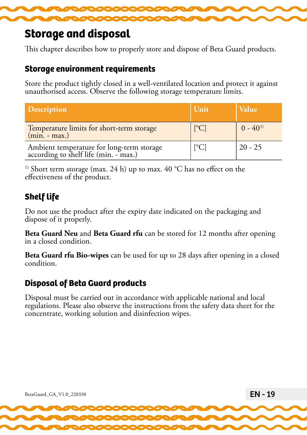

## **Storage and disposal**

This chapter describes how to properly store and dispose of Beta Guard products.

#### **Storage environment requirements**

Store the product tightly closed in a well-ventilated location and protect it against unauthorised access. Observe the following storage temperature limits.

| <b>Description</b>                                                                 | Unit                        | <b>Value</b> |
|------------------------------------------------------------------------------------|-----------------------------|--------------|
| Temperature limits for short-term storage<br>$(min - max.)$                        | [°C]                        | $0 - 40^{1}$ |
| Ambient temperature for long-term storage<br>according to shelf life (min. - max.) | $\left[ {}^{\circ}C\right]$ | $20 - 25$    |

<sup>1)</sup> Short term storage (max. 24 h) up to max. 40  $^{\circ}$ C has no effect on the effectiveness of the product.

## **Shelf life**

Do not use the product after the expiry date indicated on the packaging and dispose of it properly.

**Beta Guard Neu** and **Beta Guard rfu** can be stored for 12 months after opening in a closed condition.

**Beta Guard rfu Bio-wipes** can be used for up to 28 days after opening in a closed condition.

## **Disposal of Beta Guard products**

Disposal must be carried out in accordance with applicable national and local regulations. Please also observe the instructions from the safety data sheet for the concentrate, working solution and disinfection wipes.

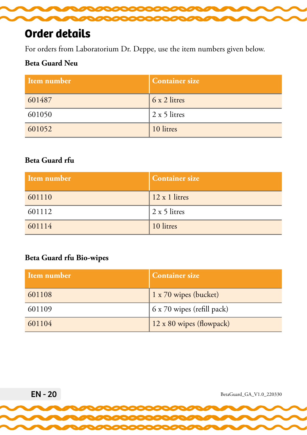<span id="page-19-0"></span>

# **Order details**

For orders from Laboratorium Dr. Deppe, use the item numbers given below.

#### **Beta Guard Neu**

| Item number | <b>Container size</b> |
|-------------|-----------------------|
| 601487      | 6 x 2 litres          |
| 601050      | 2 x 5 litres          |
| 601052      | 10 litres             |

### **Beta Guard rfu**

| Item number | <b>Container size</b> |
|-------------|-----------------------|
| 601110      | 12 x 1 litres         |
| 601112      | 2 x 5 litres          |
| 601114      | 10 litres             |

#### **Beta Guard rfu Bio-wipes**

| Item number | <b>Container size</b>      |
|-------------|----------------------------|
| 601108      | 1 x 70 wipes (bucket)      |
| 601109      | 6 x 70 wipes (refill pack) |
| 601104      | 12 x 80 wipes (flowpack)   |